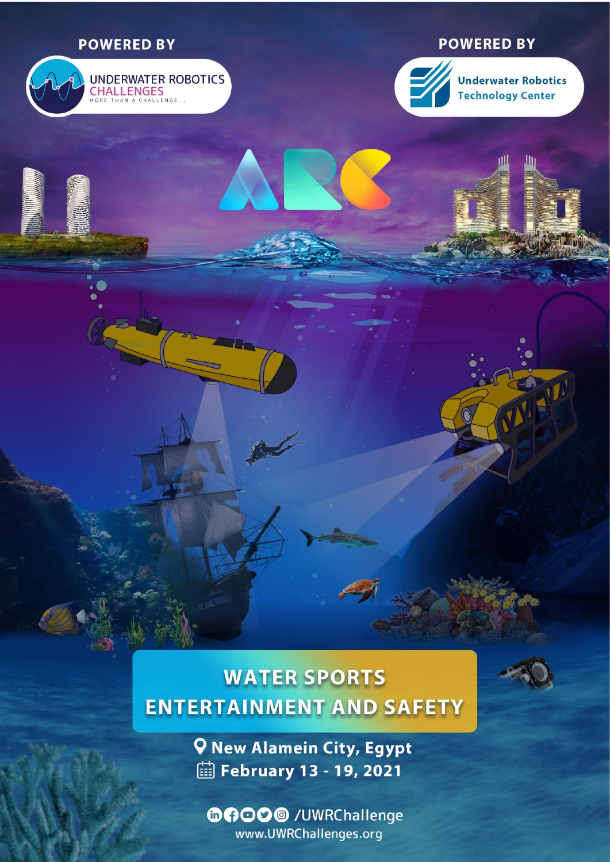## **POWERED BY**

# UNDERWATER ROBOTICS

## **POWERED BY**



**Underwater Robotics Technology Center** 

## **WATER SPORTS ENTERTAINMENT AND SAFETY**



TET.

**Q New Alamein City, Egypt iii February 13 - 19, 2021** 

**のの〇〇〇** /UWRChallenge www.UWRChallenges.org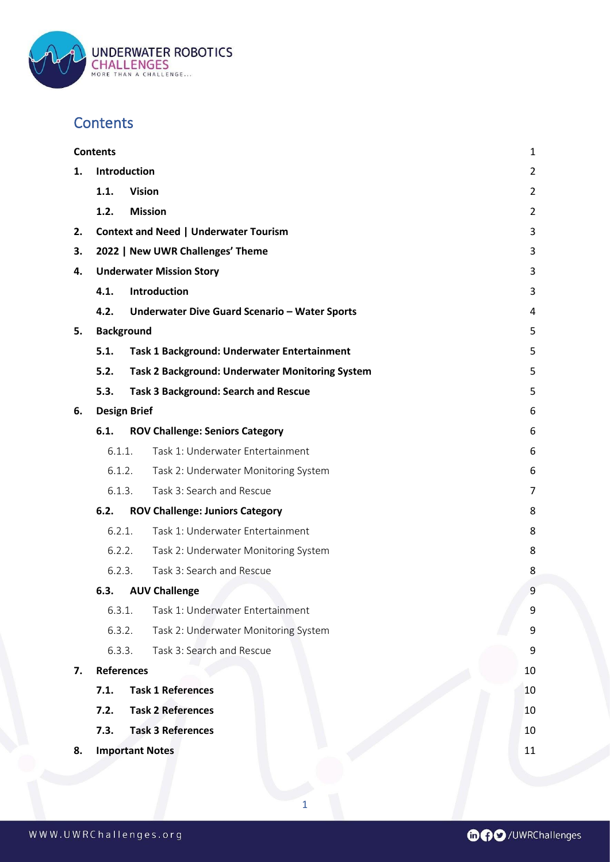

## <span id="page-1-0"></span>**Contents**

|    | <b>Contents</b>                  |                                              |                                                        |                |
|----|----------------------------------|----------------------------------------------|--------------------------------------------------------|----------------|
| 1. | Introduction                     |                                              |                                                        | $\overline{2}$ |
|    | 1.1.                             | <b>Vision</b>                                |                                                        | $\overline{2}$ |
|    | 1.2.                             | <b>Mission</b>                               |                                                        | $\overline{2}$ |
| 2. |                                  | <b>Context and Need   Underwater Tourism</b> |                                                        |                |
| 3. | 2022   New UWR Challenges' Theme |                                              |                                                        | 3              |
| 4. | <b>Underwater Mission Story</b>  |                                              |                                                        | 3              |
|    | 4.1.                             |                                              | Introduction                                           | 3              |
|    | 4.2.                             |                                              | Underwater Dive Guard Scenario - Water Sports          | 4              |
| 5. | <b>Background</b>                |                                              |                                                        | 5              |
|    | 5.1.                             |                                              | Task 1 Background: Underwater Entertainment            | 5              |
|    | 5.2.                             |                                              | <b>Task 2 Background: Underwater Monitoring System</b> | 5              |
|    | 5.3.                             |                                              | <b>Task 3 Background: Search and Rescue</b>            | 5              |
| 6. | <b>Design Brief</b>              |                                              |                                                        | 6              |
|    | 6.1.                             |                                              | <b>ROV Challenge: Seniors Category</b>                 | 6              |
|    | 6.1.1.                           |                                              | Task 1: Underwater Entertainment                       | 6              |
|    | 6.1.2.                           |                                              | Task 2: Underwater Monitoring System                   | 6              |
|    | 6.1.3.                           |                                              | Task 3: Search and Rescue                              | 7              |
|    | 6.2.                             |                                              | <b>ROV Challenge: Juniors Category</b>                 | 8              |
|    | 6.2.1.                           |                                              | Task 1: Underwater Entertainment                       | 8              |
|    | 6.2.2.                           |                                              | Task 2: Underwater Monitoring System                   | 8              |
|    | 6.2.3.                           |                                              | Task 3: Search and Rescue                              | 8              |
|    | 6.3.                             |                                              | <b>AUV Challenge</b>                                   | 9              |
|    | 6.3.1.                           |                                              | Task 1: Underwater Entertainment                       | 9              |
|    | 6.3.2.                           |                                              | Task 2: Underwater Monitoring System                   | 9              |
|    | 6.3.3.                           |                                              | Task 3: Search and Rescue                              | 9              |
| 7. | <b>References</b>                |                                              |                                                        | 10             |
|    | 7.1.                             |                                              | <b>Task 1 References</b>                               | 10             |
|    | 7.2.                             |                                              | <b>Task 2 References</b>                               | 10             |
|    | 7.3.                             |                                              | <b>Task 3 References</b>                               | 10             |
| 8. | <b>Important Notes</b>           |                                              |                                                        | 11             |
|    |                                  |                                              |                                                        |                |

1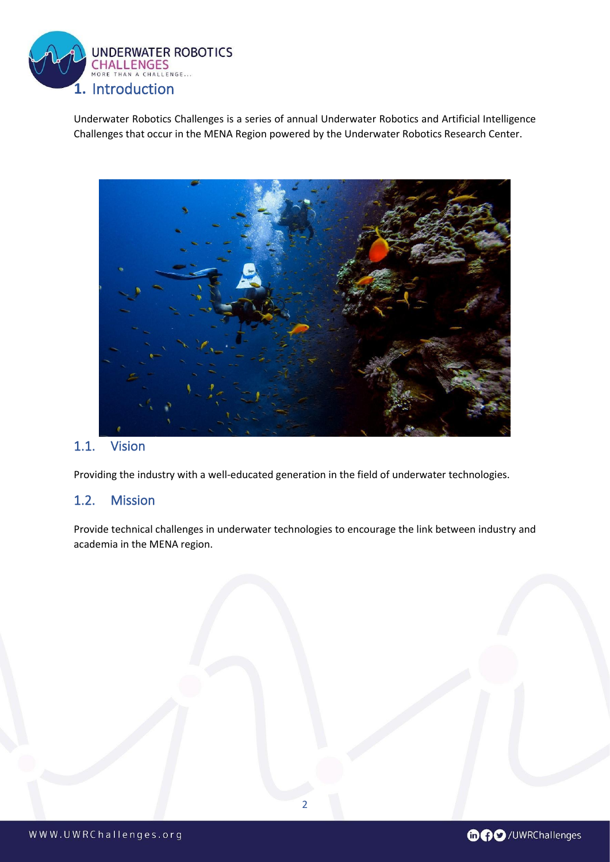

<span id="page-2-0"></span>Underwater Robotics Challenges is a series of annual Underwater Robotics and Artificial Intelligence Challenges that occur in the MENA Region powered by the Underwater Robotics Research Center.



## <span id="page-2-1"></span>1.1. Vision

Providing the industry with a well-educated generation in the field of underwater technologies.

#### <span id="page-2-2"></span>1.2. Mission

Provide technical challenges in underwater technologies to encourage the link between industry and academia in the MENA region.



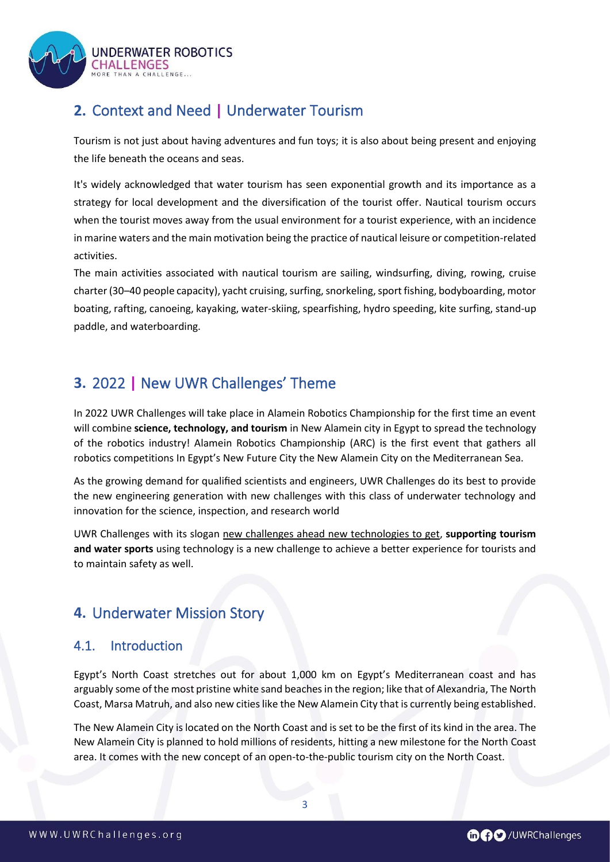

## <span id="page-3-0"></span>**2.** Context and Need **|** Underwater Tourism

Tourism is not just about having adventures and fun toys; it is also about being present and enjoying the life beneath the oceans and seas.

It's widely acknowledged that water tourism has seen exponential growth and its importance as a strategy for local development and the diversification of the tourist offer. Nautical tourism occurs when the tourist moves away from the usual environment for a tourist experience, with an incidence in marine waters and the main motivation being the practice of nautical leisure or competition-related activities.

The main activities associated with nautical tourism are sailing, windsurfing, diving, rowing, cruise charter (30–40 people capacity), yacht cruising, surfing, snorkeling, sport fishing, bodyboarding, motor boating, rafting, canoeing, kayaking, water-skiing, spearfishing, hydro speeding, kite surfing, stand-up paddle, and waterboarding.

## <span id="page-3-1"></span>**3.** 2022 **|** New UWR Challenges' Theme

In 2022 UWR Challenges will take place in Alamein Robotics Championship for the first time an event will combine **science, technology, and tourism** in New Alamein city in Egypt to spread the technology of the robotics industry! Alamein Robotics Championship (ARC) is the first event that gathers all robotics competitions In Egypt's New Future City the New Alamein City on the Mediterranean Sea.

As the growing demand for qualified scientists and engineers, UWR Challenges do its best to provide the new engineering generation with new challenges with this class of underwater technology and innovation for the science, inspection, and research world

UWR Challenges with its slogan new challenges ahead new technologies to get, **supporting tourism and water sports** using technology is a new challenge to achieve a better experience for tourists and to maintain safety as well.

## <span id="page-3-2"></span>**4.** Underwater Mission Story

## <span id="page-3-3"></span>4.1. Introduction

Egypt's North Coast stretches out for about 1,000 km on Egypt's Mediterranean coast and has arguably some of the most pristine white sand beaches in the region; like that of Alexandria, The North Coast, Marsa Matruh, and also new cities like the New Alamein City that is currently being established.

The New Alamein City is located on the North Coast and is set to be the first of its kind in the area. The New Alamein City is planned to hold millions of residents, hitting a new milestone for the North Coast area. It comes with the new concept of an open-to-the-public tourism city on the North Coast.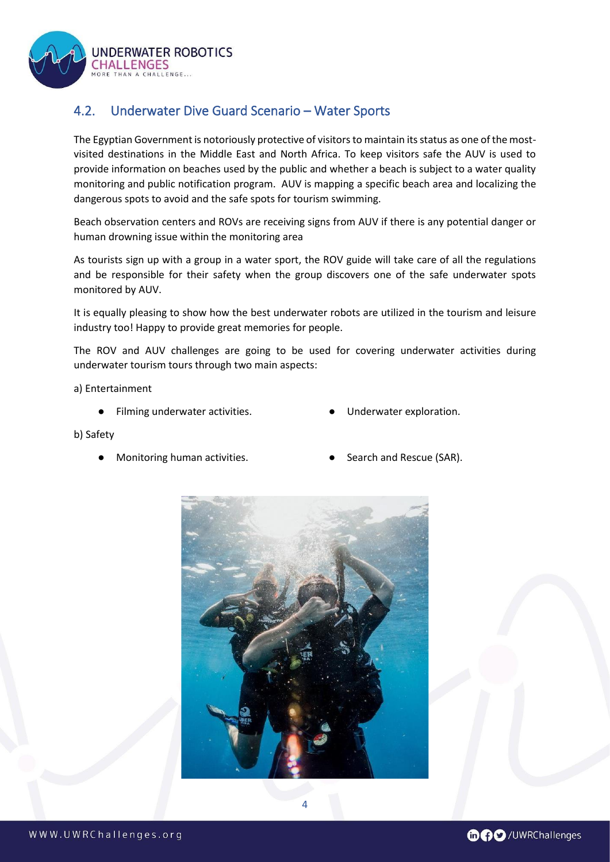**INDERWATER ROBOTICS CHALLENGES** 

ENGE

## <span id="page-4-0"></span>4.2. Underwater Dive Guard Scenario – Water Sports

The Egyptian Government is notoriously protective of visitors to maintain its status as one of the mostvisited destinations in the Middle East and North Africa. To keep visitors safe the AUV is used to provide information on beaches used by the public and whether a beach is subject to a water quality monitoring and public notification program. AUV is mapping a specific beach area and localizing the dangerous spots to avoid and the safe spots for tourism swimming.

Beach observation centers and ROVs are receiving signs from AUV if there is any potential danger or human drowning issue within the monitoring area

As tourists sign up with a group in a water sport, the ROV guide will take care of all the regulations and be responsible for their safety when the group discovers one of the safe underwater spots monitored by AUV.

It is equally pleasing to show how the best underwater robots are utilized in the tourism and leisure industry too! Happy to provide great memories for people.

The ROV and AUV challenges are going to be used for covering underwater activities during underwater tourism tours through two main aspects:

a) Entertainment

- Filming underwater activities. Underwater exploration.
- 

- b) Safety
	- Monitoring human activities. Search and Rescue (SAR).
- 



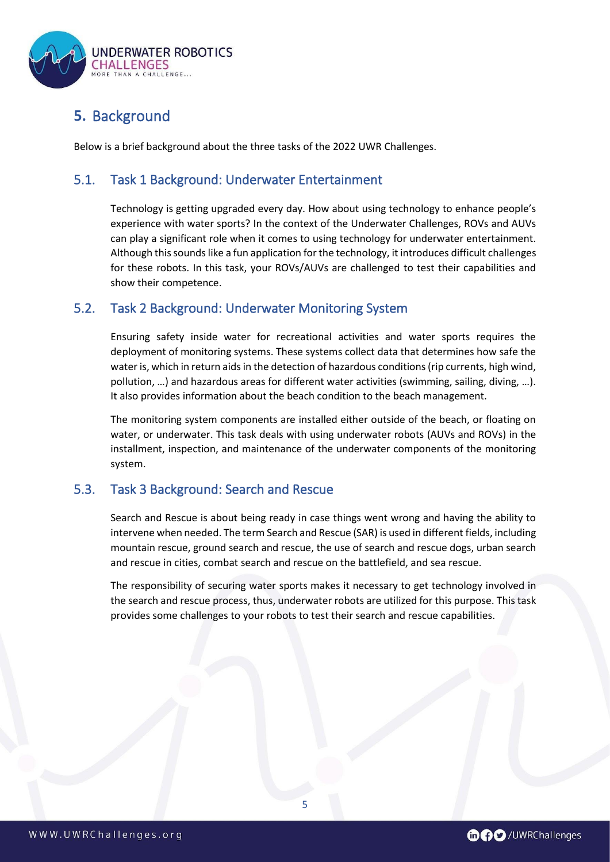

## <span id="page-5-0"></span>**5.** Background

Below is a brief background about the three tasks of the 2022 UWR Challenges.

### <span id="page-5-1"></span>5.1. Task 1 Background: Underwater Entertainment

Technology is getting upgraded every day. How about using technology to enhance people's experience with water sports? In the context of the Underwater Challenges, ROVs and AUVs can play a significant role when it comes to using technology for underwater entertainment. Although this sounds like a fun application for the technology, it introduces difficult challenges for these robots. In this task, your ROVs/AUVs are challenged to test their capabilities and show their competence.

#### <span id="page-5-2"></span>5.2. Task 2 Background: Underwater Monitoring System

Ensuring safety inside water for recreational activities and water sports requires the deployment of monitoring systems. These systems collect data that determines how safe the water is, which in return aids in the detection of hazardous conditions (rip currents, high wind, pollution, …) and hazardous areas for different water activities (swimming, sailing, diving, …). It also provides information about the beach condition to the beach management.

The monitoring system components are installed either outside of the beach, or floating on water, or underwater. This task deals with using underwater robots (AUVs and ROVs) in the installment, inspection, and maintenance of the underwater components of the monitoring system.

## <span id="page-5-3"></span>5.3. Task 3 Background: Search and Rescue

Search and Rescue is about being ready in case things went wrong and having the ability to intervene when needed. The term Search and Rescue (SAR) is used in different fields, including mountain rescue, ground search and rescue, the use of search and rescue dogs, urban search and rescue in cities, combat search and rescue on the battlefield, and sea rescue.

The responsibility of securing water sports makes it necessary to get technology involved in the search and rescue process, thus, underwater robots are utilized for this purpose. This task provides some challenges to your robots to test their search and rescue capabilities.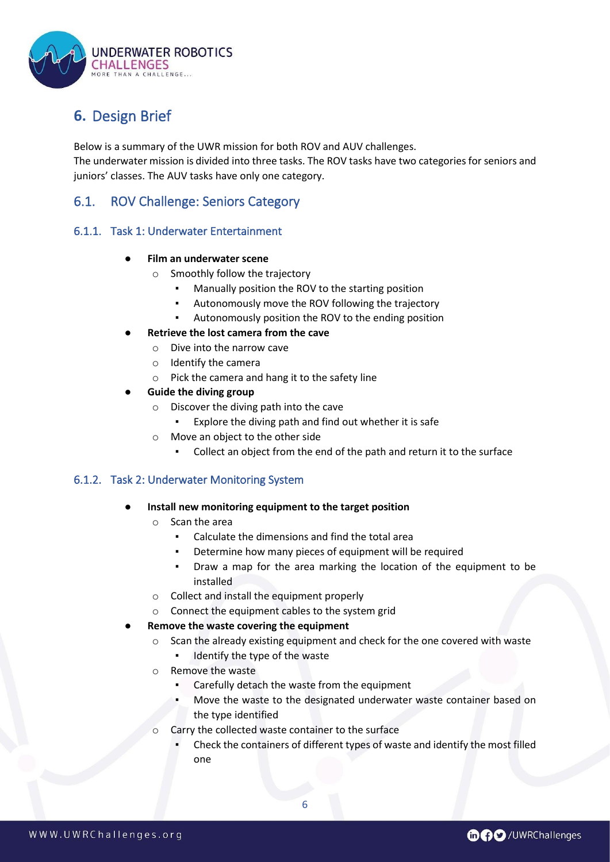

## <span id="page-6-0"></span>**6.** Design Brief

Below is a summary of the UWR mission for both ROV and AUV challenges. The underwater mission is divided into three tasks. The ROV tasks have two categories for seniors and juniors' classes. The AUV tasks have only one category.

## <span id="page-6-1"></span>6.1. ROV Challenge: Seniors Category

#### <span id="page-6-2"></span>6.1.1. Task 1: Underwater Entertainment

#### **Film an underwater scene**

- o Smoothly follow the trajectory
	- Manually position the ROV to the starting position
	- Autonomously move the ROV following the trajectory
	- Autonomously position the ROV to the ending position
- **Retrieve the lost camera from the cave** 
	- o Dive into the narrow cave
	- o Identify the camera
	- o Pick the camera and hang it to the safety line

#### **Guide the diving group**

- o Discover the diving path into the cave
	- Explore the diving path and find out whether it is safe
- o Move an object to the other side
	- Collect an object from the end of the path and return it to the surface

#### <span id="page-6-3"></span>6.1.2. Task 2: Underwater Monitoring System

#### **Install new monitoring equipment to the target position**

- o Scan the area
	- Calculate the dimensions and find the total area
	- Determine how many pieces of equipment will be required
	- Draw a map for the area marking the location of the equipment to be installed
- o Collect and install the equipment properly
- o Connect the equipment cables to the system grid

#### **Remove the waste covering the equipment**

- o Scan the already existing equipment and check for the one covered with waste
	- Identify the type of the waste
- o Remove the waste
	- Carefully detach the waste from the equipment
	- Move the waste to the designated underwater waste container based on the type identified
- Carry the collected waste container to the surface
	- Check the containers of different types of waste and identify the most filled one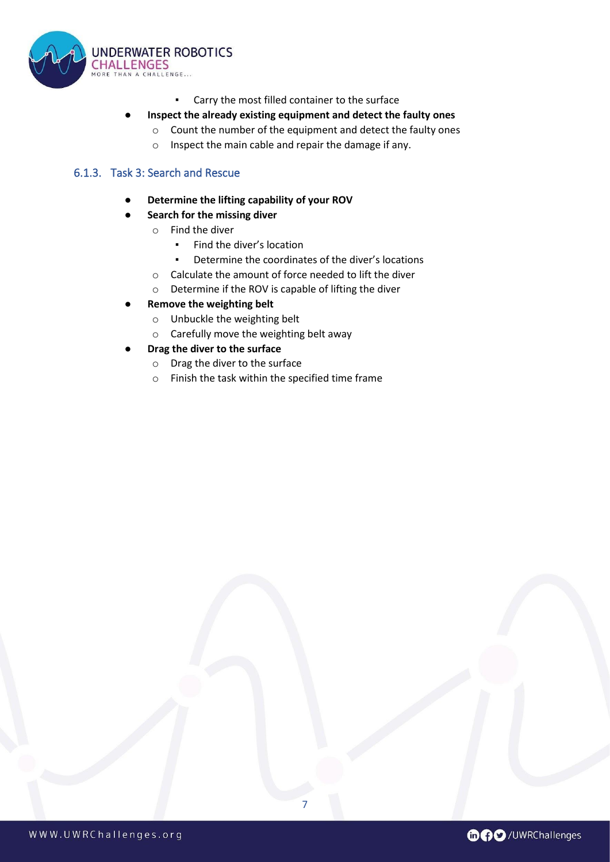

▪ Carry the most filled container to the surface

#### ● **Inspect the already existing equipment and detect the faulty ones**

- o Count the number of the equipment and detect the faulty ones
- o Inspect the main cable and repair the damage if any.

#### <span id="page-7-0"></span>6.1.3. Task 3: Search and Rescue

- **Determine the lifting capability of your ROV**
- **Search for the missing diver** 
	- o Find the diver
		- Find the diver's location
		- Determine the coordinates of the diver's locations

7

- o Calculate the amount of force needed to lift the diver
- o Determine if the ROV is capable of lifting the diver
- **Remove the weighting belt** 
	- o Unbuckle the weighting belt
	- o Carefully move the weighting belt away
- **Drag the diver to the surface** 
	- o Drag the diver to the surface
	- o Finish the task within the specified time frame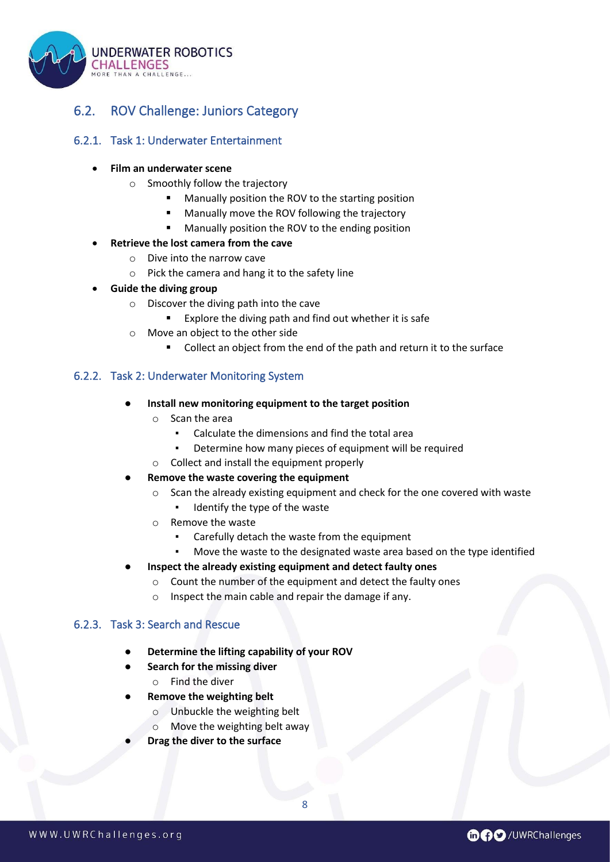

## <span id="page-8-0"></span>6.2. ROV Challenge: Juniors Category

#### <span id="page-8-2"></span><span id="page-8-1"></span>6.2.1. Task 1: Underwater Entertainment

#### • **Film an underwater scene**

- o Smoothly follow the trajectory
	- Manually position the ROV to the starting position
	- Manually move the ROV following the trajectory
		- Manually position the ROV to the ending position
- **Retrieve the lost camera from the cave**
	- o Dive into the narrow cave
	- o Pick the camera and hang it to the safety line
- **Guide the diving group**
	- o Discover the diving path into the cave
		- Explore the diving path and find out whether it is safe
	- o Move an object to the other side
		- Collect an object from the end of the path and return it to the surface

#### 6.2.2. Task 2: Underwater Monitoring System

- **Install new monitoring equipment to the target position** 
	- o Scan the area
		- Calculate the dimensions and find the total area
		- **•** Determine how many pieces of equipment will be required
	- o Collect and install the equipment properly
- **Remove the waste covering the equipment** 
	- o Scan the already existing equipment and check for the one covered with waste
		- Identify the type of the waste
	- o Remove the waste
		- Carefully detach the waste from the equipment
		- Move the waste to the designated waste area based on the type identified
- **Inspect the already existing equipment and detect faulty ones** 
	- o Count the number of the equipment and detect the faulty ones
	- o Inspect the main cable and repair the damage if any.

#### <span id="page-8-3"></span>6.2.3. Task 3: Search and Rescue

- **Determine the lifting capability of your ROV**
- **Search for the missing diver** o Find the diver
- **Remove the weighting belt** 
	- o Unbuckle the weighting belt
	- o Move the weighting belt away
- **Drag the diver to the surface**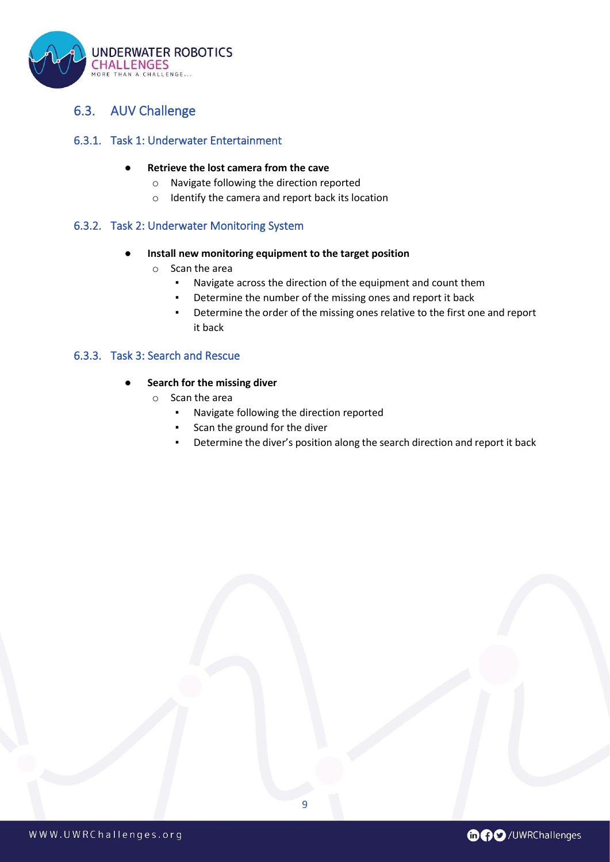

## <span id="page-9-0"></span>6.3. AUV Challenge

#### <span id="page-9-1"></span>6.3.1. Task 1: Underwater Entertainment

#### **Retrieve the lost camera from the cave**

- o Navigate following the direction reported
- o Identify the camera and report back its location

#### <span id="page-9-2"></span>6.3.2. Task 2: Underwater Monitoring System

#### **Install new monitoring equipment to the target position**

- o Scan the area
	- Navigate across the direction of the equipment and count them
	- Determine the number of the missing ones and report it back
	- Determine the order of the missing ones relative to the first one and report it back

#### <span id="page-9-3"></span>6.3.3. Task 3: Search and Rescue

#### **Search for the missing diver**

- o Scan the area
	- Navigate following the direction reported
	- Scan the ground for the diver
	- Determine the diver's position along the search direction and report it back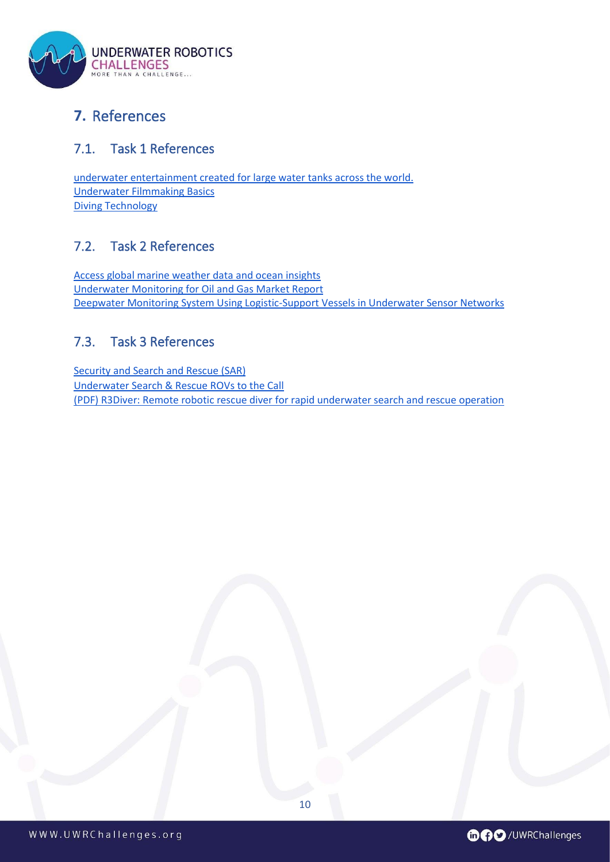

## <span id="page-10-0"></span>**7.** References

## <span id="page-10-1"></span>7.1. Task 1 References

[underwater entertainment created for large water tanks across the world.](http://www.aquabatix.com/portfolios/underwater-entertainment/) [Underwater Filmmaking Basics](https://untamedscience.com/filmmaking/advanced-filmmaking/underwater-filmmaking-basics/) [Diving Technology](https://manoa.hawaii.edu/exploringourfluidearth/physical/ocean-depths/diving-technology)

## <span id="page-10-2"></span>7.2. Task 2 References

[Access global marine weather data and ocean insights](https://www.sofarocean.com/) [Underwater Monitoring for Oil and Gas Market Report](https://www.protoexpress.com/pcb/market-research-reports/underwater-monitoring-oil-gas-market-report/) [Deepwater Monitoring System Using Logistic-Support Vessels in Underwater Sensor Networks](https://www.gta.ufrj.br/~fabriciojorge/publicacoes/isope2011/RPC11.pdf)

## <span id="page-10-3"></span>7.3. Task 3 References

[Security and Search and Rescue \(SAR\)](https://www.tritech.co.uk/defence/security-and-search-and-rescue-sar) [Underwater Search & Rescue ROVs to the Call](https://www.deeptrekker.com/news/search-and-rescue-rovs) [\(PDF\) R3Diver: Remote robotic rescue diver for rapid underwater search and rescue operation](https://www.researchgate.net/publication/313585185_R3Diver_Remote_robotic_rescue_diver_for_rapid_underwater_search_and_rescue_operation)